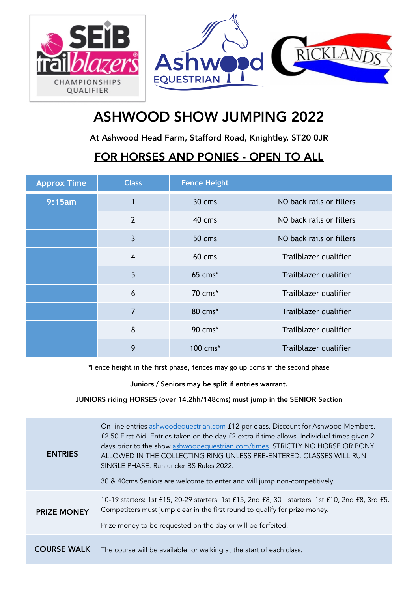

## ASHWOOD SHOW JUMPING 2022

At Ashwood Head Farm, Stafford Road, Knightley. ST20 0JR

## FOR HORSES AND PONIES - OPEN TO ALL

| <b>Approx Time</b> | <b>Class</b>    | <b>Fence Height</b> |                          |
|--------------------|-----------------|---------------------|--------------------------|
| 9:15am             | $\mathbf{1}$    | 30 cms              | NO back rails or fillers |
|                    | $\overline{2}$  | 40 cms              | NO back rails or fillers |
|                    | $\overline{3}$  | 50 cms              | NO back rails or fillers |
|                    | $\overline{4}$  | 60 cms              | Trailblazer qualifier    |
|                    | $5\overline{)}$ | 65 cms*             | Trailblazer qualifier    |
|                    | 6               | 70 cms*             | Trailblazer qualifier    |
|                    | 7               | 80 cms*             | Trailblazer qualifier    |
|                    | 8               | 90 cms*             | Trailblazer qualifier    |
|                    | 9               | 100 cms*            | Trailblazer qualifier    |

\*Fence height in the first phase, fences may go up 5cms in the second phase

Juniors / Seniors may be split if entries warrant.

## JUNIORS riding HORSES (over 14.2hh/148cms) must jump in the SENIOR Section

| <b>ENTRIES</b>     | On-line entries ashwoodequestrian.com £12 per class. Discount for Ashwood Members.<br>£2.50 First Aid. Entries taken on the day £2 extra if time allows. Individual times given 2<br>days prior to the show ashwoodequestrian.com/times. STRICTLY NO HORSE OR PONY<br>ALLOWED IN THE COLLECTING RING UNLESS PRE-ENTERED. CLASSES WILL RUN<br>SINGLE PHASE, Run under BS Rules 2022.<br>30 & 40cms Seniors are welcome to enter and will jump non-competitively |
|--------------------|----------------------------------------------------------------------------------------------------------------------------------------------------------------------------------------------------------------------------------------------------------------------------------------------------------------------------------------------------------------------------------------------------------------------------------------------------------------|
| <b>PRIZE MONEY</b> | 10-19 starters: 1st £15, 20-29 starters: 1st £15, 2nd £8, 30+ starters: 1st £10, 2nd £8, 3rd £5.<br>Competitors must jump clear in the first round to qualify for prize money.<br>Prize money to be requested on the day or will be forfeited.                                                                                                                                                                                                                 |
| <b>COURSE WALK</b> | The course will be available for walking at the start of each class.                                                                                                                                                                                                                                                                                                                                                                                           |